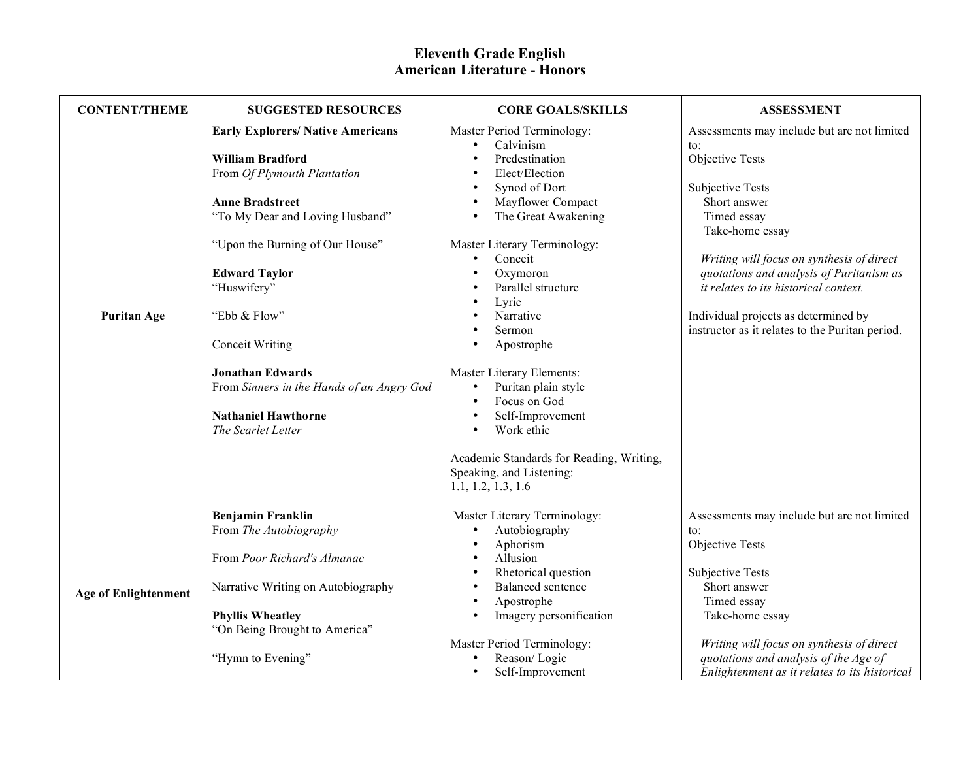| <b>CONTENT/THEME</b>        | <b>SUGGESTED RESOURCES</b>                                                                                                                                                                                                                                                                                                                                                                                      | <b>CORE GOALS/SKILLS</b>                                                                                                                                                                                                                                                                                                                                                                                                                                                                                       | <b>ASSESSMENT</b>                                                                                                                                                                                                                                                                                                                                                                           |
|-----------------------------|-----------------------------------------------------------------------------------------------------------------------------------------------------------------------------------------------------------------------------------------------------------------------------------------------------------------------------------------------------------------------------------------------------------------|----------------------------------------------------------------------------------------------------------------------------------------------------------------------------------------------------------------------------------------------------------------------------------------------------------------------------------------------------------------------------------------------------------------------------------------------------------------------------------------------------------------|---------------------------------------------------------------------------------------------------------------------------------------------------------------------------------------------------------------------------------------------------------------------------------------------------------------------------------------------------------------------------------------------|
| <b>Puritan Age</b>          | <b>Early Explorers/ Native Americans</b><br><b>William Bradford</b><br>From Of Plymouth Plantation<br><b>Anne Bradstreet</b><br>"To My Dear and Loving Husband"<br>"Upon the Burning of Our House"<br><b>Edward Taylor</b><br>"Huswifery"<br>"Ebb & Flow"<br><b>Conceit Writing</b><br><b>Jonathan Edwards</b><br>From Sinners in the Hands of an Angry God<br><b>Nathaniel Hawthorne</b><br>The Scarlet Letter | Master Period Terminology:<br>Calvinism<br>$\bullet$<br>Predestination<br>Elect/Election<br>Synod of Dort<br>Mayflower Compact<br>The Great Awakening<br>Master Literary Terminology:<br>Conceit<br>$\bullet$<br>Oxymoron<br>Parallel structure<br>Lyric<br>Narrative<br>Sermon<br>Apostrophe<br>Master Literary Elements:<br>Puritan plain style<br>$\bullet$<br>Focus on God<br>Self-Improvement<br>Work ethic<br>Academic Standards for Reading, Writing,<br>Speaking, and Listening:<br>1.1, 1.2, 1.3, 1.6 | Assessments may include but are not limited<br>$\mathsf{to}$ :<br>Objective Tests<br><b>Subjective Tests</b><br>Short answer<br>Timed essay<br>Take-home essay<br>Writing will focus on synthesis of direct<br>quotations and analysis of Puritanism as<br>it relates to its historical context.<br>Individual projects as determined by<br>instructor as it relates to the Puritan period. |
| <b>Age of Enlightenment</b> | <b>Benjamin Franklin</b><br>From The Autobiography<br>From Poor Richard's Almanac<br>Narrative Writing on Autobiography<br><b>Phyllis Wheatley</b><br>"On Being Brought to America"<br>"Hymn to Evening"                                                                                                                                                                                                        | Master Literary Terminology:<br>Autobiography<br>Aphorism<br>Allusion<br>Rhetorical question<br>Balanced sentence<br>Apostrophe<br>Imagery personification<br>Master Period Terminology:<br>Reason/Logic<br>Self-Improvement<br>$\bullet$                                                                                                                                                                                                                                                                      | Assessments may include but are not limited<br>to:<br>Objective Tests<br><b>Subjective Tests</b><br>Short answer<br>Timed essay<br>Take-home essay<br>Writing will focus on synthesis of direct<br>quotations and analysis of the Age of<br>Enlightenment as it relates to its historical                                                                                                   |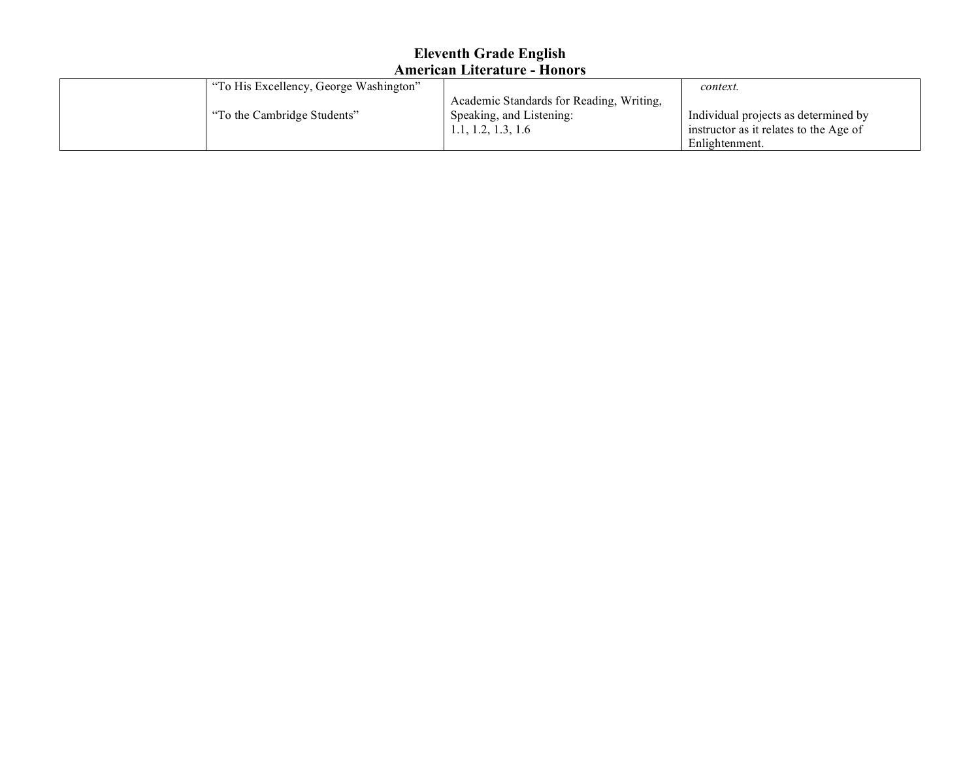| "To His Excellency, George Washington" |                                          | context.                               |
|----------------------------------------|------------------------------------------|----------------------------------------|
|                                        | Academic Standards for Reading, Writing, |                                        |
| "To the Cambridge Students"            | Speaking, and Listening:                 | Individual projects as determined by   |
|                                        | 1.1, 1.2, 1.3, 1.6                       | instructor as it relates to the Age of |
|                                        |                                          | Enlightenment.                         |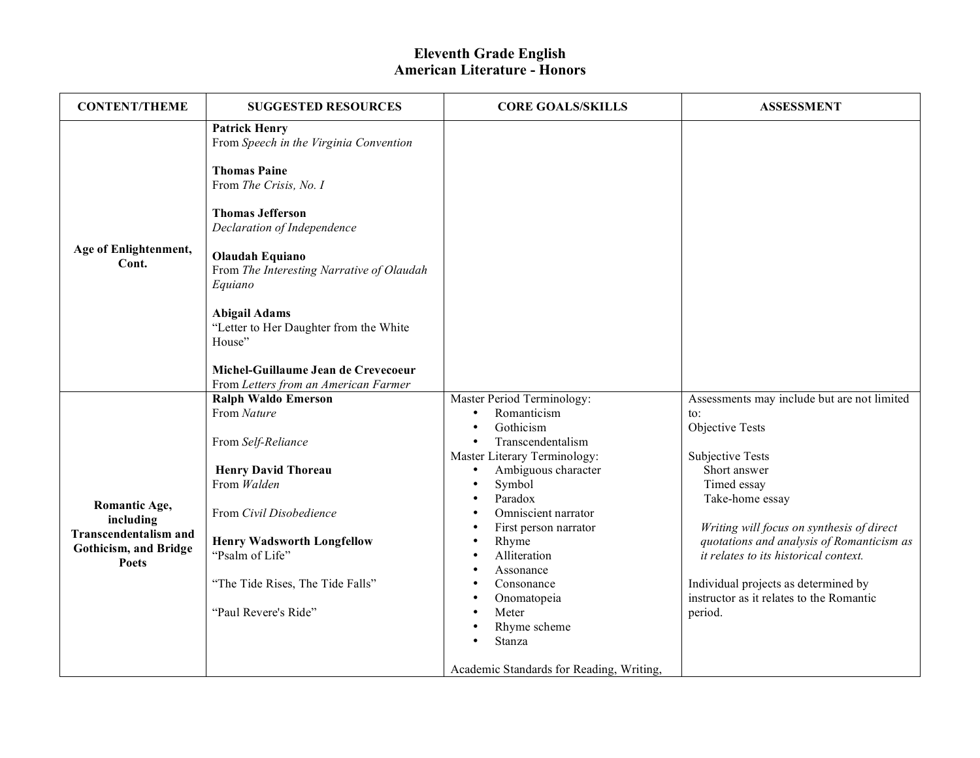| <b>CONTENT/THEME</b>           | <b>SUGGESTED RESOURCES</b>                                                            | <b>CORE GOALS/SKILLS</b>                 | <b>ASSESSMENT</b>                           |
|--------------------------------|---------------------------------------------------------------------------------------|------------------------------------------|---------------------------------------------|
|                                | <b>Patrick Henry</b><br>From Speech in the Virginia Convention<br><b>Thomas Paine</b> |                                          |                                             |
|                                | From The Crisis, No. I                                                                |                                          |                                             |
|                                | <b>Thomas Jefferson</b><br>Declaration of Independence                                |                                          |                                             |
| Age of Enlightenment,<br>Cont. | <b>Olaudah Equiano</b><br>From The Interesting Narrative of Olaudah<br>Equiano        |                                          |                                             |
|                                | <b>Abigail Adams</b><br>"Letter to Her Daughter from the White<br>House"              |                                          |                                             |
|                                | Michel-Guillaume Jean de Crevecoeur<br>From Letters from an American Farmer           |                                          |                                             |
|                                | <b>Ralph Waldo Emerson</b>                                                            | Master Period Terminology:               | Assessments may include but are not limited |
|                                | From Nature                                                                           | Romanticism<br>$\bullet$                 | to:                                         |
|                                |                                                                                       | Gothicism<br>$\bullet$                   | <b>Objective Tests</b>                      |
|                                | From Self-Reliance                                                                    | Transcendentalism                        |                                             |
|                                |                                                                                       | Master Literary Terminology:             | <b>Subjective Tests</b>                     |
|                                | <b>Henry David Thoreau</b>                                                            | Ambiguous character                      | Short answer                                |
|                                | From Walden                                                                           | Symbol                                   | Timed essay                                 |
| Romantic Age,                  |                                                                                       | Paradox                                  | Take-home essay                             |
| including                      | From Civil Disobedience                                                               | Omniscient narrator                      |                                             |
| <b>Transcendentalism and</b>   |                                                                                       | First person narrator                    | Writing will focus on synthesis of direct   |
| Gothicism, and Bridge          | <b>Henry Wadsworth Longfellow</b>                                                     | Rhyme                                    | quotations and analysis of Romanticism as   |
| <b>Poets</b>                   | "Psalm of Life"                                                                       | Alliteration                             | it relates to its historical context.       |
|                                | "The Tide Rises, The Tide Falls"                                                      | Assonance<br>Consonance                  | Individual projects as determined by        |
|                                |                                                                                       | Onomatopeia                              | instructor as it relates to the Romantic    |
|                                | "Paul Revere's Ride"                                                                  | Meter                                    | period.                                     |
|                                |                                                                                       | Rhyme scheme                             |                                             |
|                                |                                                                                       | Stanza                                   |                                             |
|                                |                                                                                       |                                          |                                             |
|                                |                                                                                       | Academic Standards for Reading, Writing, |                                             |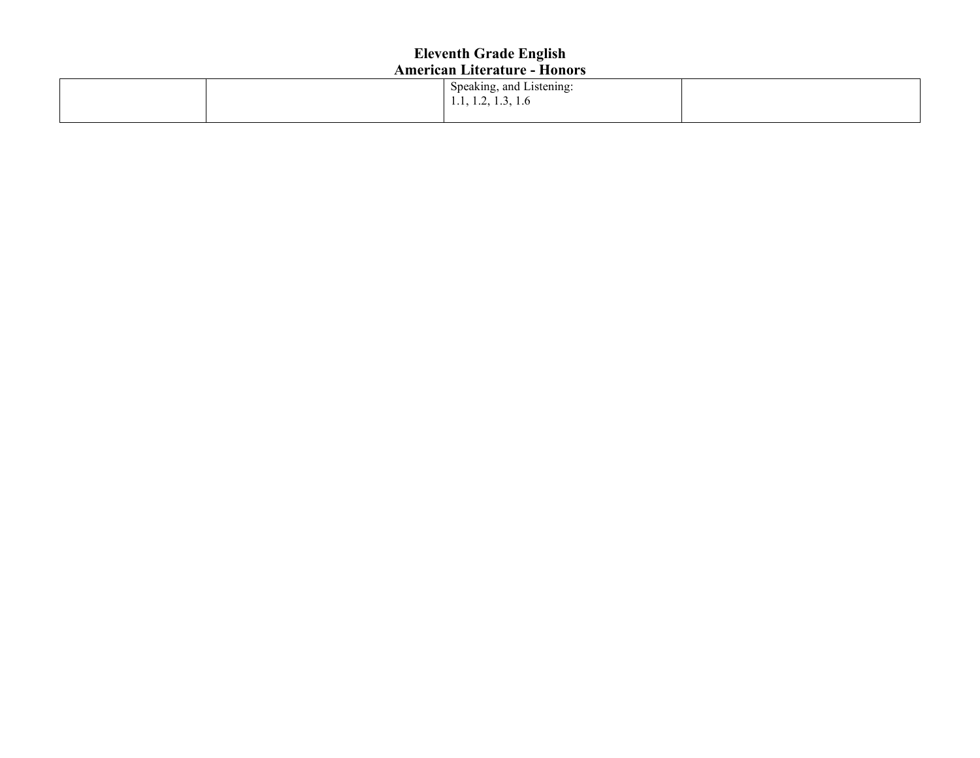|  | $\sim$ $\sim$ $\sim$<br>$\sim$<br>Speaking, and Listening: |  |
|--|------------------------------------------------------------|--|
|  | 1.1, 1.2, 1.3, 1.6                                         |  |
|  |                                                            |  |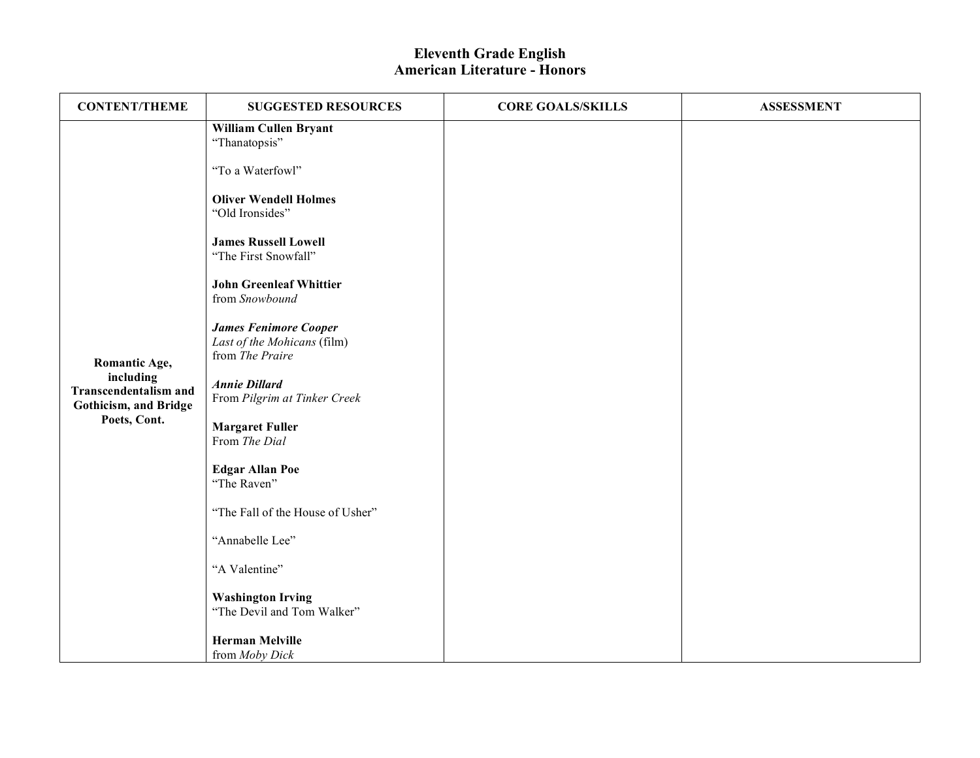| <b>CONTENT/THEME</b>                                                                                | <b>SUGGESTED RESOURCES</b>                                                                                                                                                                                                                                                                                                                                                                                                                                                                                                                                                               | <b>CORE GOALS/SKILLS</b> | <b>ASSESSMENT</b> |
|-----------------------------------------------------------------------------------------------------|------------------------------------------------------------------------------------------------------------------------------------------------------------------------------------------------------------------------------------------------------------------------------------------------------------------------------------------------------------------------------------------------------------------------------------------------------------------------------------------------------------------------------------------------------------------------------------------|--------------------------|-------------------|
| Romantic Age,<br>including<br><b>Transcendentalism and</b><br>Gothicism, and Bridge<br>Poets, Cont. | William Cullen Bryant<br>"Thanatopsis"<br>"To a Waterfowl"<br><b>Oliver Wendell Holmes</b><br>"Old Ironsides"<br><b>James Russell Lowell</b><br>"The First Snowfall"<br><b>John Greenleaf Whittier</b><br>from Snowbound<br><b>James Fenimore Cooper</b><br>Last of the Mohicans (film)<br>from The Praire<br><b>Annie Dillard</b><br>From Pilgrim at Tinker Creek<br><b>Margaret Fuller</b><br>From The Dial<br><b>Edgar Allan Poe</b><br>"The Raven"<br>"The Fall of the House of Usher"<br>"Annabelle Lee"<br>"A Valentine"<br><b>Washington Irving</b><br>"The Devil and Tom Walker" |                          |                   |
|                                                                                                     | <b>Herman Melville</b><br>from Moby Dick                                                                                                                                                                                                                                                                                                                                                                                                                                                                                                                                                 |                          |                   |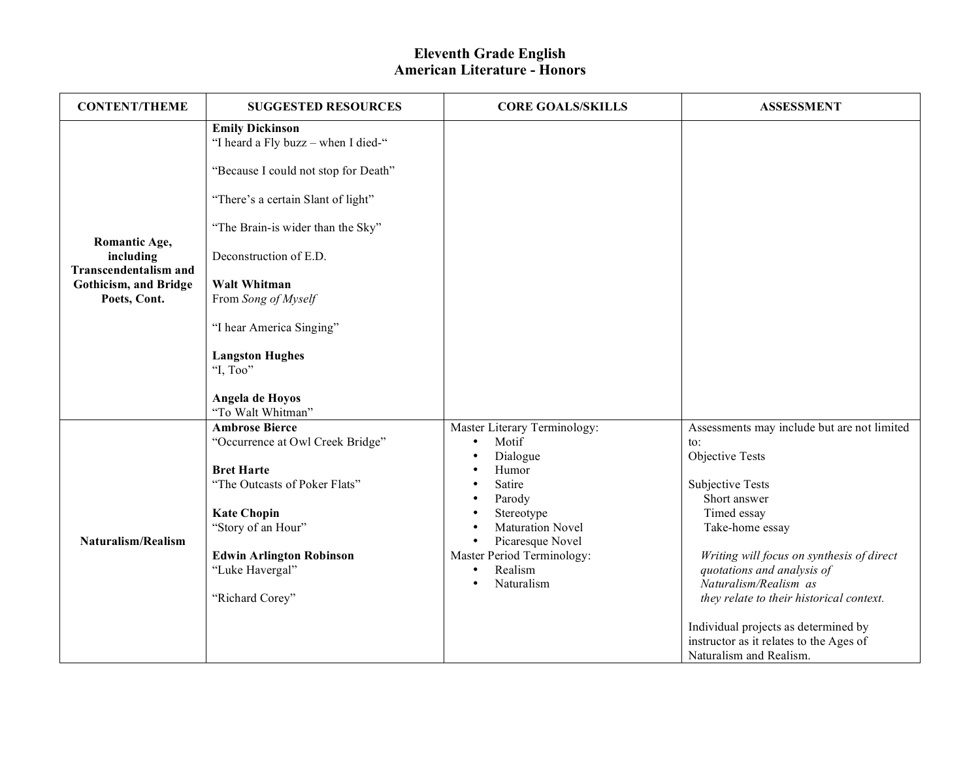| <b>CONTENT/THEME</b>                      | <b>SUGGESTED RESOURCES</b>                                    | <b>CORE GOALS/SKILLS</b>      | <b>ASSESSMENT</b>                           |
|-------------------------------------------|---------------------------------------------------------------|-------------------------------|---------------------------------------------|
|                                           | <b>Emily Dickinson</b><br>"I heard a Fly buzz - when I died-" |                               |                                             |
|                                           | "Because I could not stop for Death"                          |                               |                                             |
|                                           | "There's a certain Slant of light"                            |                               |                                             |
| Romantic Age,                             | "The Brain-is wider than the Sky"                             |                               |                                             |
| including<br><b>Transcendentalism and</b> | Deconstruction of E.D.                                        |                               |                                             |
| Gothicism, and Bridge<br>Poets, Cont.     | <b>Walt Whitman</b><br>From Song of Myself                    |                               |                                             |
|                                           | "I hear America Singing"                                      |                               |                                             |
|                                           | <b>Langston Hughes</b><br>"I, Too"                            |                               |                                             |
|                                           | Angela de Hoyos<br>"To Walt Whitman"                          |                               |                                             |
|                                           | <b>Ambrose Bierce</b>                                         | Master Literary Terminology:  | Assessments may include but are not limited |
|                                           | "Occurrence at Owl Creek Bridge"                              | Motif<br>$\bullet$            | to:                                         |
|                                           |                                                               | Dialogue                      | <b>Objective Tests</b>                      |
|                                           | <b>Bret Harte</b>                                             | Humor                         |                                             |
|                                           | "The Outcasts of Poker Flats"                                 | Satire                        | <b>Subjective Tests</b><br>Short answer     |
|                                           | <b>Kate Chopin</b>                                            | Parody<br>Stereotype          | Timed essay                                 |
|                                           | "Story of an Hour"                                            | <b>Maturation Novel</b>       | Take-home essay                             |
| Naturalism/Realism                        |                                                               | Picaresque Novel<br>$\bullet$ |                                             |
|                                           | <b>Edwin Arlington Robinson</b>                               | Master Period Terminology:    | Writing will focus on synthesis of direct   |
|                                           | "Luke Havergal"                                               | Realism<br>$\bullet$          | quotations and analysis of                  |
|                                           |                                                               | Naturalism<br>$\bullet$       | Naturalism/Realism as                       |
|                                           | "Richard Corey"                                               |                               | they relate to their historical context.    |
|                                           |                                                               |                               | Individual projects as determined by        |
|                                           |                                                               |                               | instructor as it relates to the Ages of     |
|                                           |                                                               |                               | Naturalism and Realism.                     |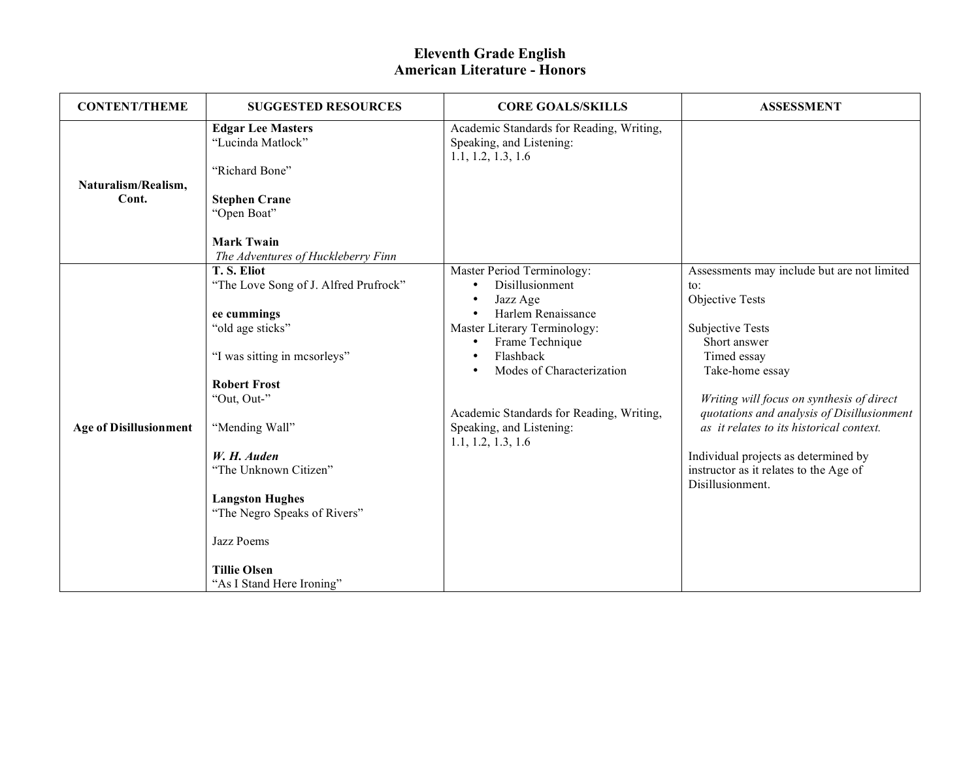| <b>CONTENT/THEME</b>          | <b>SUGGESTED RESOURCES</b>                                                                                                                                                                                                                                                                                                                         | <b>CORE GOALS/SKILLS</b>                                                                                                                                                                                                                                                                | <b>ASSESSMENT</b>                                                                                                                                                                                                                                                                                                                                                                                           |
|-------------------------------|----------------------------------------------------------------------------------------------------------------------------------------------------------------------------------------------------------------------------------------------------------------------------------------------------------------------------------------------------|-----------------------------------------------------------------------------------------------------------------------------------------------------------------------------------------------------------------------------------------------------------------------------------------|-------------------------------------------------------------------------------------------------------------------------------------------------------------------------------------------------------------------------------------------------------------------------------------------------------------------------------------------------------------------------------------------------------------|
| Naturalism/Realism,<br>Cont.  | <b>Edgar Lee Masters</b><br>"Lucinda Matlock"<br>"Richard Bone"<br><b>Stephen Crane</b><br>"Open Boat"                                                                                                                                                                                                                                             | Academic Standards for Reading, Writing,<br>Speaking, and Listening:<br>1.1, 1.2, 1.3, 1.6                                                                                                                                                                                              |                                                                                                                                                                                                                                                                                                                                                                                                             |
|                               | <b>Mark Twain</b><br>The Adventures of Huckleberry Finn                                                                                                                                                                                                                                                                                            |                                                                                                                                                                                                                                                                                         |                                                                                                                                                                                                                                                                                                                                                                                                             |
| <b>Age of Disillusionment</b> | T.S. Eliot<br>"The Love Song of J. Alfred Prufrock"<br>ee cummings<br>"old age sticks"<br>"I was sitting in mesorleys"<br><b>Robert Frost</b><br>"Out, Out-"<br>"Mending Wall"<br>W. H. Auden<br>"The Unknown Citizen"<br><b>Langston Hughes</b><br>"The Negro Speaks of Rivers"<br>Jazz Poems<br><b>Tillie Olsen</b><br>"As I Stand Here Ironing" | Master Period Terminology:<br>Disillusionment<br>$\bullet$<br>Jazz Age<br>Harlem Renaissance<br>Master Literary Terminology:<br>Frame Technique<br>Flashback<br>Modes of Characterization<br>Academic Standards for Reading, Writing,<br>Speaking, and Listening:<br>1.1, 1.2, 1.3, 1.6 | Assessments may include but are not limited<br>$\mathsf{to}$ :<br>Objective Tests<br><b>Subjective Tests</b><br>Short answer<br>Timed essay<br>Take-home essay<br>Writing will focus on synthesis of direct<br>quotations and analysis of Disillusionment<br>as it relates to its historical context.<br>Individual projects as determined by<br>instructor as it relates to the Age of<br>Disillusionment. |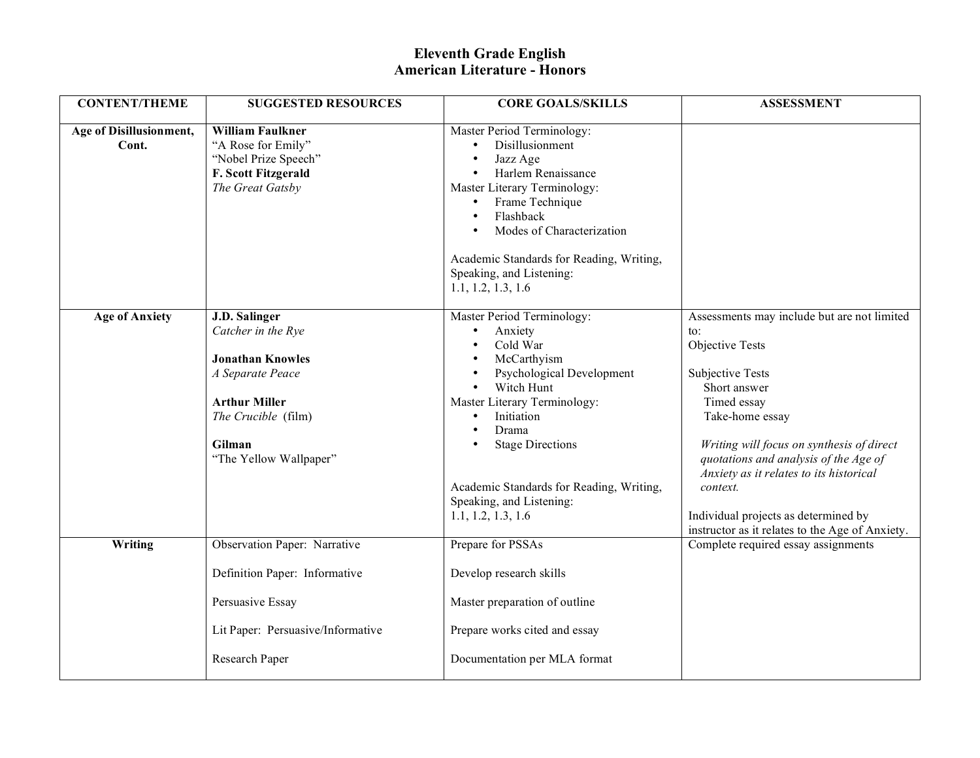| <b>CONTENT/THEME</b>             | <b>SUGGESTED RESOURCES</b>                                                                                                                                                   | <b>CORE GOALS/SKILLS</b>                                                                                                                                                                                                                                                                                              | <b>ASSESSMENT</b>                                                                                                                                                                                                                                                                                                                                                                                      |
|----------------------------------|------------------------------------------------------------------------------------------------------------------------------------------------------------------------------|-----------------------------------------------------------------------------------------------------------------------------------------------------------------------------------------------------------------------------------------------------------------------------------------------------------------------|--------------------------------------------------------------------------------------------------------------------------------------------------------------------------------------------------------------------------------------------------------------------------------------------------------------------------------------------------------------------------------------------------------|
| Age of Disillusionment,<br>Cont. | <b>William Faulkner</b><br>"A Rose for Emily"<br>"Nobel Prize Speech"<br><b>F. Scott Fitzgerald</b><br>The Great Gatsby                                                      | Master Period Terminology:<br>Disillusionment<br>$\bullet$<br>Jazz Age<br>Harlem Renaissance<br>Master Literary Terminology:<br>Frame Technique<br>$\bullet$<br>Flashback<br>Modes of Characterization<br>Academic Standards for Reading, Writing,<br>Speaking, and Listening:<br>1.1, 1.2, 1.3, 1.6                  |                                                                                                                                                                                                                                                                                                                                                                                                        |
| <b>Age of Anxiety</b>            | <b>J.D. Salinger</b><br>Catcher in the Rye<br><b>Jonathan Knowles</b><br>A Separate Peace<br><b>Arthur Miller</b><br>The Crucible (film)<br>Gilman<br>"The Yellow Wallpaper" | Master Period Terminology:<br>Anxiety<br>$\bullet$<br>Cold War<br>McCarthyism<br>Psychological Development<br>Witch Hunt<br>Master Literary Terminology:<br>Initiation<br>$\bullet$<br>Drama<br><b>Stage Directions</b><br>Academic Standards for Reading, Writing,<br>Speaking, and Listening:<br>1.1, 1.2, 1.3, 1.6 | Assessments may include but are not limited<br>$\mathsf{to}$ :<br>Objective Tests<br><b>Subjective Tests</b><br>Short answer<br>Timed essay<br>Take-home essay<br>Writing will focus on synthesis of direct<br>quotations and analysis of the Age of<br>Anxiety as it relates to its historical<br>context.<br>Individual projects as determined by<br>instructor as it relates to the Age of Anxiety. |
| Writing                          | Observation Paper: Narrative                                                                                                                                                 | Prepare for PSSAs                                                                                                                                                                                                                                                                                                     | Complete required essay assignments                                                                                                                                                                                                                                                                                                                                                                    |
|                                  | Definition Paper: Informative<br>Persuasive Essay                                                                                                                            | Develop research skills<br>Master preparation of outline                                                                                                                                                                                                                                                              |                                                                                                                                                                                                                                                                                                                                                                                                        |
|                                  | Lit Paper: Persuasive/Informative                                                                                                                                            | Prepare works cited and essay                                                                                                                                                                                                                                                                                         |                                                                                                                                                                                                                                                                                                                                                                                                        |
|                                  | Research Paper                                                                                                                                                               | Documentation per MLA format                                                                                                                                                                                                                                                                                          |                                                                                                                                                                                                                                                                                                                                                                                                        |
|                                  |                                                                                                                                                                              |                                                                                                                                                                                                                                                                                                                       |                                                                                                                                                                                                                                                                                                                                                                                                        |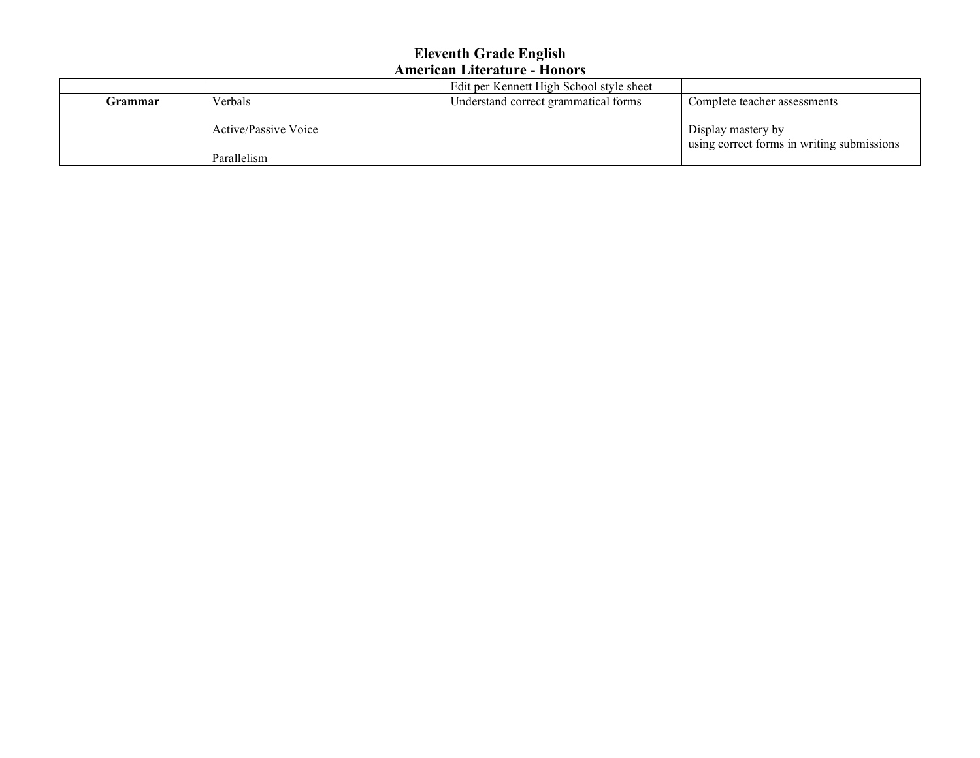|         |                                            | Edit per Kennett High School style sheet |                                                                  |
|---------|--------------------------------------------|------------------------------------------|------------------------------------------------------------------|
| Grammar | Verbals                                    | Understand correct grammatical forms     | Complete teacher assessments                                     |
|         | <b>Active/Passive Voice</b><br>Parallelism |                                          | Display mastery by<br>using correct forms in writing submissions |